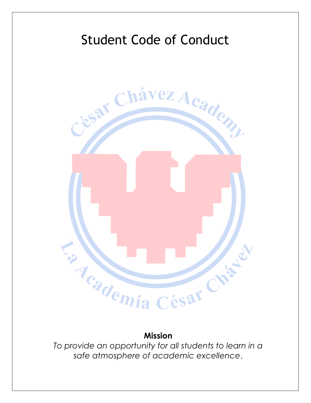

**Mission** 

*To provide an opportunity for all students to learn in a safe atmosphere of academic excellence*.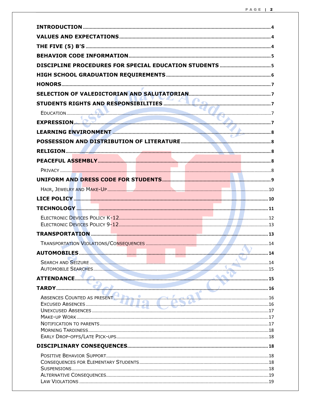| EXPRESSION.                 |      |
|-----------------------------|------|
|                             |      |
|                             |      |
|                             |      |
|                             |      |
|                             |      |
|                             |      |
|                             |      |
|                             |      |
|                             |      |
|                             |      |
|                             |      |
|                             |      |
|                             |      |
|                             | . 14 |
|                             |      |
|                             |      |
|                             |      |
|                             |      |
| ABSENCES COUNTED AS PRESENT |      |
|                             |      |
|                             |      |
|                             |      |
|                             |      |
|                             |      |
|                             |      |
|                             |      |
|                             |      |
|                             |      |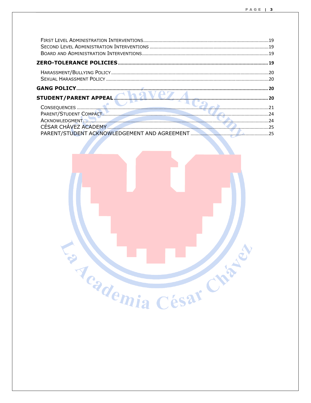| ACKNOWLEDGMENT       |  |
|----------------------|--|
| CÉSAR CHÁVEZ ACADEMY |  |
|                      |  |
|                      |  |

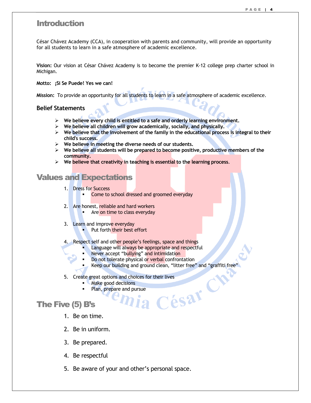### Introduction

César Chávez Academy (CCA), in cooperation with parents and community, will provide an opportunity for all students to learn in a safe atmosphere of academic excellence.

**Vision:** Our vision at César Chávez Academy is to become the premier K-12 college prep charter school in Michigan.

**Motto: ¡Si Se Puede! Yes we can!** 

**Mission:** To provide an opportunity for all students to learn in a safe atmosphere of academic excellence.

### **Belief Statements**

- **We believe every child is entitled to a safe and orderly learning environment.**
- **We believe all children will grow academically, socially, and physically.**
- $\triangleright$  We believe that the involvement of the family in the educational process is integral to their **child's success.**
- **We believe in meeting the diverse needs of our students.**
- **We believe all students will be prepared to become positive, productive members of the community.**
- **We believe that creativity in teaching is essential to the learning process**.

### Values and Expectations

- 1. Dress for Success
	- -Come to school dressed and groomed everyday
- 2. Are honest, reliable and hard workers
	- **EXEQ 1** Are on time to class everyday
- 3. Learn and improve everyday
	- Put forth their best effort
- 4. Respect self and other people's feelings, space and things
	- -Language will always be appropriate and respectful
	- -Never accept "bullying" and intimidation
	- - Do not tolerate physical or verbal confrontation
		- -Keep our building and ground clean, "litter free" and "graffiti free"
- 5. Create great options and choices for their lives<br>
Make good decisions<br>
Plan, prepare and pursue<br>
Plan, prepare and pursue<br>
Plan (5) B's<br>
1. Be on the lives
	- - Make good decisions
		- Plan, prepare and pursue

# The Five (5) B's

1. Be on time.

-

- 2. Be in uniform.
- 3. Be prepared.
- 4. Be respectful
- 5. Be aware of your and other's personal space.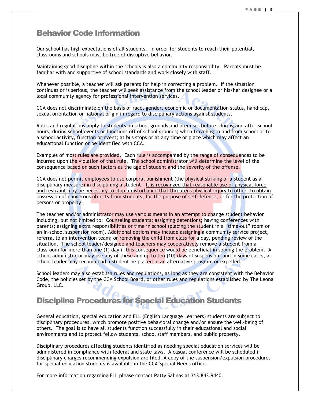### Behavior Code Information

Our school has high expectations of all students. In order for students to reach their potential, classrooms and schools must be free of disruptive behavior.

Maintaining good discipline within the schools is also a community responsibility. Parents must be familiar with and supportive of school standards and work closely with staff.

Whenever possible, a teacher will ask parents for help in correcting a problem. If the situation continues or is serious, the teacher will seek assistance from the school leader or his/her designee or a local community agency for professional intervention services.

CCA does not discriminate on the basis of race, gender, economic or documentation status, handicap, sexual orientation or national origin in regard to disciplinary actions against students.

Rules and regulations apply to students on school grounds and premises before, during and after school hours; during school events or functions off of school grounds; when traveling to and from school or to a school activity, function or event; at bus stops or at any time or place which may affect an educational function or be identified with CCA.

Examples of most rules are provided. Each rule is accompanied by the range of consequences to be incurred upon the violation of that rule. The school administrator will determine the level of the consequence based on such factors as the age of student and the severity of the offense.

CCA does not permit employees to use corporal punishment (the physical striking of a student as a disciplinary measure) in disciplining a student. It is recognized that reasonable use of physical force and restraint may be necessary to stop a disturbance that threatens physical injury to others to obtain possession of dangerous objects from students; for the purpose of self-defense; or for the protection of persons or property.

The teacher and/or administrator may use various means in an attempt to change student behavior including, but not limited to: Counseling students; assigning detentions; having conferences with parents; assigning extra responsibilities or time in school (placing the student in a "time-out" room or an in-school suspension room). Additional options may include assigning a community service project, referral to an intervention team; or removing the child from class for a day, pending review of the situation. The school leader/designee and teachers may cooperatively remove a student from a classroom for more than one (1) day if this consequence would be beneficial in solving the problem. A school administrator may use any of these and up to ten (10) days of suspension, and in some cases, a school leader may recommend a student be placed in an alternative program or expelled.

School leaders may also establish rules and regulations, as long as they are consistent with the Behavior Code, the policies set by the CCA School Board, or other rules and regulations established by The Leona Group, LLC.

# Discipline Procedures for Special Education Students

General education, special education and ELL (English Language Learners) students are subject to disciplinary procedures, which promote positive behavioral change and/or ensure the well-being of others. The goal is to have all students function successfully in their educational and social environments and to protect fellow students, school staff members, and public property.

Disciplinary procedures affecting students identified as needing special education services will be administered in compliance with federal and state laws. A casual conference will be scheduled if disciplinary charges recommending expulsion are filed. A copy of the suspension/expulsion procedures for special education students is available in the CCA Special Needs office.

For more information regarding ELL please contact Patty Salinas at 313.843.9440.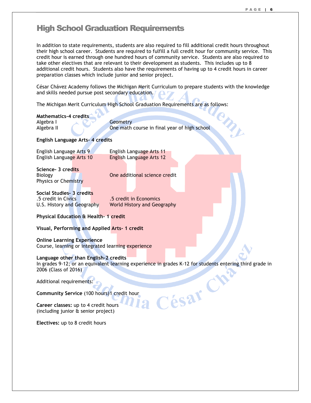MIL

# High School Graduation Requirements

In addition to state requirements, students are also required to fill additional credit hours throughout their high school career. Students are required to fulfill a full credit hour for community service. This credit hour is earned through one hundred hours of community service. Students are also required to take other electives that are relevant to their development as students. This includes up to 8 additional credit hours. Students also have the requirements of having up to 4 credit hours in career preparation classes which include junior and senior project.

César Chávez Academy follows the Michigan Merit Curriculum to prepare students with the knowledge and skills needed pursue post secondary education.

The Michigan Merit Curriculum High School Graduation Requirements are as follows:

#### **Mathematics-4 credits**

Algebra I Geometry

Algebra II One math course in final year of high school

#### **English Language Arts- 4 credits**

English Language Arts 9 English Language Arts 11 English Language Arts 10 English Language Arts 12

**Science- 3 credits**  Physics or Chemistry

Biology **Contract Cone** and Cone additional science credit

**Social Studies- 3 credits**  .5 credit in Civics .5 credit in Economics

U.S. History and Geography World History and Geography

#### **Physical Education & Health- 1 credit**

**Visual, Performing and Applied Arts- 1 credit** 

**Online Learning Experience**  Course, learning or integrated learning experience

#### **Language other than English-2 credits**

In grades 9-12; or an equivalent learning experience in grades K-12 for students entering third grade in 2006 (Class of 2016)

César C

Additional requirements:

**Community Service** (100 hours) 1 credit hour

**Career classes:** up to 4 credit hours (including junior & senior project)

**Electives:** up to 8 credit hours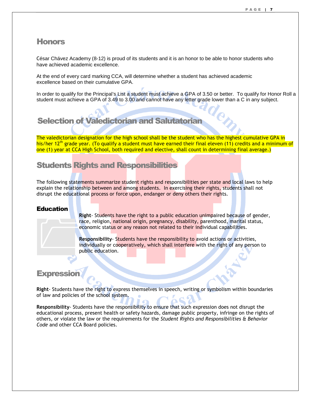### **Honors**

César Chávez Academy (8-12) is proud of its students and it is an honor to be able to honor students who have achieved academic excellence.

At the end of every card marking CCA, will determine whether a student has achieved academic excellence based on their cumulative GPA.

In order to qualify for the Principal's List a student must achieve a GPA of 3.50 or better. To qualify for Honor Roll a student must achieve a GPA of 3.49 to 3.00 and cannot have any letter grade lower than a C in any subject.

# Selection of Valedictorian and Salutatorian

The valedictorian designation for the high school shall be the student who has the highest cumulative GPA in his/her 12<sup>th</sup> grade year. (To qualify a student must have earned their final eleven (11) credits and a minimum of one (1) year at CCA High School, both required and elective, shall count in determining final average.)

# Students Rights and Responsibilities

The following statements summarize student rights and responsibilities per state and local laws to help explain the relationship between and among students. In exercising their rights, students shall not disrupt the educational process or force upon, endanger or deny others their rights.

### Education

**Right**- Students have the right to a public education unimpaired because of gender, race, religion, national origin, pregnancy, disability, parenthood, marital status, economic status or any reason not related to their individual capabilities. Education<br>
Right-<br>
race,<br>
econo<br>
Respo<br>
individ

**Responsibility**- Students have the responsibility to avoid actions or activities, individually or cooperatively, which shall interfere with the right of any person to public education.

### **Expression**

**Right**- Students have the right to express themselves in speech, writing or symbolism within boundaries of law and policies of the school system.

**Responsibility**- Students have the responsibility to ensure that such expression does not disrupt the educational process, present health or safety hazards, damage public property, infringe on the rights of others, or violate the law or the requirements for the *Student Rights and Responsibilities & Behavior Code* and other CCA Board policies.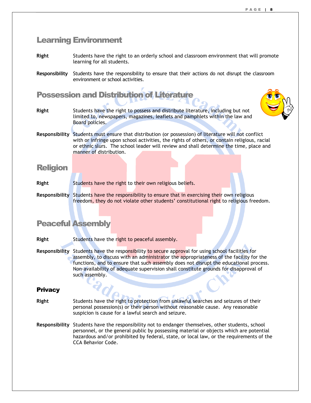### Learning Environment

- **Right** Students have the right to an orderly school and classroom environment that will promote learning for all students.
- **Responsibility** Students have the responsibility to ensure that their actions do not disrupt the classroom environment or school activities.

# Possession and Distribution of Literature

- **Right** Students have the right to possess and distribute literature, including but not limited to, newspapers, magazines, leaflets and pamphlets within the law and Board policies.
- **Responsibility** Students must ensure that distribution (or possession) of literature will not conflict with or infringe upon school activities, the rights of others, or contain religious, racial or ethnic slurs. The school leader will review and shall determine the time, place and manner of distribution.

### Religion

- **Right** Students have the right to their own religious beliefs.
- **Responsibility** Students have the responsibility to ensure that in exercising their own religious freedom, they do not violate other students' constitutional right to religious freedom.

# Peaceful Assembly

- **Right** Students have the right to peaceful assembly.
- **Responsibility** Students have the responsibility to secure approval for using school facilities for assembly, to discuss with an administrator the appropriateness of the facility for the functions, and to ensure that such assembly does not disrupt the educational process. Non-availability of adequate supervision shall constitute grounds for disapproval of such assembly.

### **Privacy**

- **Right** Students have the right to protection from unlawful searches and seizures of their personal possession(s) or their person without reasonable cause. Any reasonable suspicion is cause for a lawful search and seizure.
- **Responsibility** Students have the responsibility not to endanger themselves, other students, school personnel, or the general public by possessing material or objects which are potential hazardous and/or prohibited by federal, state, or local law, or the requirements of the CCA Behavior Code.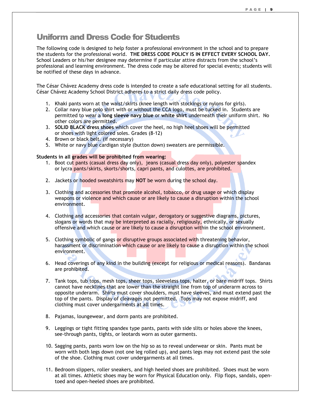# Uniform and Dress Code for Students

The following code is designed to help foster a professional environment in the school and to prepare the students for the professional world. **THE DRESS CODE POLICY IS IN EFFECT EVERY SCHOOL DAY.** School Leaders or his/her designee may determine if particular attire distracts from the school's professional and learning environment. The dress code may be altered for special events; students will be notified of these days in advance.

The César Chávez Academy dress code is intended to create a safe educational setting for all students. César Chávez Academy School District adheres to a strict daily dress code policy.

- 1. Khaki pants worn at the waist/skirts (knee length with stockings or nylons for girls).
- 2. Collar navy blue polo shirt with or without the CCA logo, must be tucked in. Students are permitted to wear a **long sleeve navy blue** or **white shirt** underneath their uniform shirt. No other colors are permitted.
- 3. **SOLID BLACK dress shoes** which cover the heel, no high heel shoes will be permitted or shoes with light colored soles. Grades (8-12)
- 4. Brown or black belt. (if necessary)
- 5. White or navy blue cardigan style (button down) sweaters are permissible.

#### **Students in all grades will be prohibited from wearing:**

- 1. Boot cut pants (casual dress day only), jeans (casual dress day only), polyester spandex or lycra pants/skirts, skorts/shorts, capri pants, and culottes, are prohibited.
- 2. Jackets or hooded sweatshirts may **NOT** be worn during the school day.
- 3. Clothing and accessories that promote alcohol, tobacco, or drug usage or which display weapons or violence and which cause or are likely to cause a disruption within the school environment.
- 4. Clothing and accessories that contain vulgar, derogatory or suggestive diagrams, pictures, slogans or words that may be interpreted as racially, religiously, ethnically, or sexually offensive and which cause or are likely to cause a disruption within the school environment.
- 5. Clothing symbolic of gangs or disruptive groups associated with threatening behavior, harassment or discrimination which cause or are likely to cause a disruption within the school environment.
- 6. Head coverings of any kind in the building (except for religious or medical reasons). Bandanas are prohibited.
- 7. Tank tops, tub tops, mesh tops, sheer tops, sleeveless tops, halter, or bare midriff tops. Shirts cannot have necklines that are lower than the straight line from top of underarm across to opposite underarm. Shirts must cover shoulders, must have sleeves, and must extend past the top of the pants. Display of cleavages not permitted. Tops may not expose midriff, and clothing must cover undergarments at all times.
- 8. Pajamas, loungewear, and dorm pants are prohibited.
- 9. Leggings or tight fitting spandex type pants, pants with side slits or holes above the knees, see-through pants, tights, or leotards worn as outer garments.
- 10. Sagging pants, pants worn low on the hip so as to reveal underwear or skin. Pants must be worn with both legs down (not one leg rolled up), and pants legs may not extend past the sole of the shoe. Clothing must cover undergarments at all times.
- 11. Bedroom slippers, roller sneakers, and high heeled shoes are prohibited. Shoes must be worn at all times. Athletic shoes may be worn for Physical Education only. Flip flops, sandals, opentoed and open-heeled shoes are prohibited.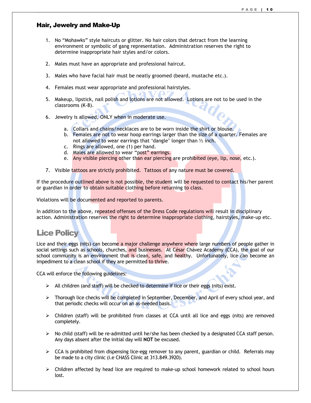### Hair, Jewelry and Make-Up

- 1. No "Mohawks" style haircuts or glitter. No hair colors that detract from the learning environment or symbolic of gang representation. Administration reserves the right to determine inappropriate hair styles and/or colors.
- 2. Males must have an appropriate and professional haircut.
- 3. Males who have facial hair must be neatly groomed (beard, mustache etc.).
- 4. Females must wear appropriate and professional hairstyles.
- 5. Makeup, lipstick, nail polish and lotions are not allowed. Lotions are not to be used in the classrooms (K-8).
- 6. Jewelry is allowed, ONLY when in moderate use.
	- a. Collars and chains/necklaces are to be worn inside the shirt or blouse.
	- b. Females are not to wear hoop earrings larger than the size of a quarter. Females are not allowed to wear earrings that 'dangle' longer than ½ inch.
	- c. Rings are allowed, one (1) per hand.
	- d. Males are allowed to wear "post" earrings.
	- e. Any visible piercing other than ear piercing are prohibited (eye, lip, nose, etc.).
- 7. Visible tattoos are strictly prohibited. Tattoos of any nature must be covered.

If the procedure outlined above is not possible, the student will be requested to contact his/her parent or guardian in order to obtain suitable clothing before returning to class.

Violations will be documented and reported to parents.

In addition to the above, repeated offenses of the Dress Code regulations will result in disciplinary action. Administration reserves the right to determine inappropriate clothing, hairstyles, make-up etc.

### Lice Policy

Lice and their eggs (nits) can become a major challenge anywhere where large numbers of people gather in social settings such as schools, churches, and businesses. At César Chávez Academy (CCA), the goal of our school community is an environment that is clean, safe, and healthy. Unfortunately, lice can become an impediment to a clean school if they are permitted to thrive.

CCA will enforce the following guidelines:

- $\triangleright$  All children (and staff) will be checked to determine if lice or their eggs (nits) exist.
- $\triangleright$  Thorough lice checks will be completed in September, December, and April of every school year, and that periodic checks will occur on an as-needed basis.
- $\triangleright$  Children (staff) will be prohibited from classes at CCA until all lice and eggs (nits) are removed completely.
- $\triangleright$  No child (staff) will be re-admitted until he/she has been checked by a designated CCA staff person. Any days absent after the initial day will **NOT** be excused.
- $\triangleright$  CCA is prohibited from dispensing lice-egg remover to any parent, guardian or child. Referrals may be made to a city clinic (i.e CHASS Clinic at 313.849.3920).
- $\triangleright$  Children affected by head lice are required to make-up school homework related to school hours lost.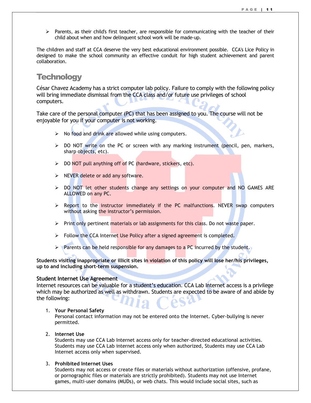$\triangleright$  Parents, as their child's first teacher, are responsible for communicating with the teacher of their child about when and how delinquent school work will be made-up.

The children and staff at CCA deserve the very best educational environment possible. CCA's Lice Policy in designed to make the school community an effective conduit for high student achievement and parent collaboration.

# **Technology**

César Chavez Academy has a strict computer lab policy. Failure to comply with the following policy will bring immediate dismissal from the CCA class and/or future use privileges of school computers.

Take care of the personal computer (PC) that has been assigned to you. The course will not be enjoyable for you if your computer is not working.

- $\triangleright$  No food and drink are allowed while using computers.
- > DO NOT write on the PC or screen with any marking instrument (pencil, pen, markers, sharp objects, etc).
- ▶ DO NOT pull anything off of PC (hardware, stickers, etc).
- $\triangleright$  NEVER delete or add any software.
- $\triangleright$  DO NOT let other students change any settings on your computer and NO GAMES ARE ALLOWED on any PC.
- $\triangleright$  Report to the instructor immediately if the PC malfunctions. NEVER swap computers without asking the instructor's permission.
- $\triangleright$  Print only pertinent materials or lab assignments for this class. Do not waste paper.
- $\triangleright$  Follow the CCA Internet Use Policy after a signed agreement is completed.
- Parents can be held responsible for any damages to a PC incurred by the student.

**Students visiting inappropriate or illicit sites in violation of this policy will lose her/his privileges, up to and including short-term suspension.** 

#### **Student Internet Use Agreement**

Internet resources can be valuable for a student's education. CCA Lab Internet access is a privilege which may be authorized as well as withdrawn. Students are expected to be aware of and abide by the following:

1. **Your Personal Safety**

Personal contact information may not be entered onto the Internet. Cyber-bullying is never permitted.

2. **Internet Use**

Students may use CCA Lab Internet access only for teacher-directed educational activities. Students may use CCA Lab internet access only when authorized, Students may use CCA Lab Internet access only when supervised.

### 3. **Prohibited Internet Uses**

Students may not access or create files or materials without authorization (offensive, profane, or pornographic files or materials are strictly prohibited). Students may not use Internet games, multi-user domains (MUDs), or web chats. This would include social sites, such as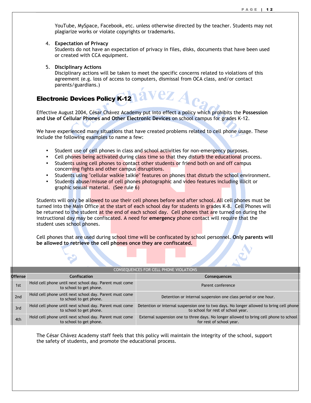YouTube, MySpace, Facebook, etc. unless otherwise directed by the teacher. Students may not plagiarize works or violate copyrights or trademarks.

4. **Expectation of Privacy**

Students do not have an expectation of privacy in files, disks, documents that have been used or created with CCA equipment.

5. **Disciplinary Actions**

Disciplinary actions will be taken to meet the specific concerns related to violations of this agreement (e.g. loss of access to computers, dismissal from OCA class, and/or contact parents/guardians.)

ez

### Electronic Devices Policy K-12

Effective August 2004, César Chávez Academy put into effect a policy which prohibits the **Possession and Use of Cellular Phones and Other Electronic Devices** on school campus for grades K-12.

We have experienced many situations that have created problems related to cell phone usage. These include the following examples to name a few:

- Student use of cell phones in class and school activities for non-emergency purposes.
- Cell phones being activated during class time so that they disturb the educational process.
- Students using cell phones to contact other students or friend both on and off campus concerning fights and other campus disruptions.
- Students using "cellular walkie talkie" features on phones that disturb the school environment.
- Students abuse/misuse of cell phones photographic and video features including illicit or graphic sexual material. (See rule 6)

Students will only be allowed to use their cell phones before and after school. All cell phones must be turned into the Main Office at the start of each school day for students in grades K-8. Cell Phones will be returned to the student at the end of each school day. Cell phones that are turned on during the instructional day may be confiscated. A need for **emergency** phone contact will require that the student uses school phones.

Cell phones that are used during school time will be confiscated by school personnel. **Only parents will be allowed to retrieve the cell phones once they are confiscated.** 

| CONSEQUENCES FOR CELL PHONE VIOLATIONS |                                                                                    |                                                                                                                               |
|----------------------------------------|------------------------------------------------------------------------------------|-------------------------------------------------------------------------------------------------------------------------------|
| <b>Offense</b>                         | Confiscation                                                                       | <b>Consequences</b>                                                                                                           |
| 1st                                    | Hold cell phone until next school day. Parent must come<br>to school to get phone. | Parent conference                                                                                                             |
| 2nd                                    | Hold cell phone until next school day. Parent must come<br>to school to get phone. | Detention or internal suspension one class period or one hour.                                                                |
| 3rd                                    | Hold cell phone until next school day. Parent must come<br>to school to get phone. | Detention or internal suspension one to two days. No longer allowed to bring cell phone<br>to school for rest of school year. |
| 4th                                    | Hold cell phone until next school day. Parent must come<br>to school to get phone. | External suspension one to three days. No longer allowed to bring cell phone to school<br>for rest of school year.            |

The César Chávez Academy staff feels that this policy will maintain the integrity of the school, support the safety of students, and promote the educational process.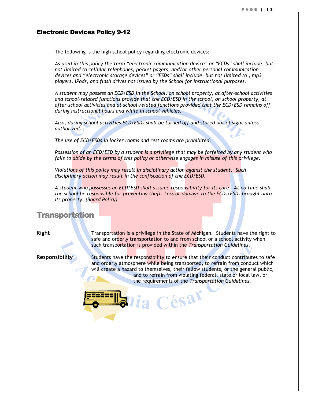#### Electronic Devices Policy 9-12

The following is the high school policy regarding electronic devices:

*As used in this policy the term "electronic communication device" or "ECDs" shall include, but not limited to cellular telephones, pocket pagers, and/or other personal communication devices and "electronic storage devices" or "ESDs" shall include, but not limited to , mp3 players, iPods, and flash drives not issued by the School for instructional purposes.* 

*A student may possess an ECD/ESD in the School, on school property, at after-school activities and school-related functions provide that the ECD/ESD in the school, on school property, at after-school activities and at school-related functions provided that the ECD/ESD remains off during instructional hours and while in school vehicles.* 

*Also, during school activities ECD/ESDs shall be turned off and stored out of sight unless authorized.* 

*The use of ECD/ESDs in locker rooms and rest rooms are prohibited.* 

*Possession of an ECD/ESD by a student is a privilege that may be forfeited by any student who fails to abide by the terms of this policy or otherwise engages in misuse of this privilege.* 

*Violations of this policy may result in disciplinary action against the student. Such disciplinary action may result in the confiscation of the ECD/ESD.* 

*A student who possesses an ECD/ESD shall assume responsibility for its care. At no time shall the school be responsible for preventing theft. Loss or damage to the ECDs/ESDs brought onto its property. (Board Policy)* 

### **Transportation**

**Right** Transportation is a privilege in the State of Michigan. Students have the right to safe and orderly transportation to and from school or a school activity when such transportation is provided within the *Transportation Guidelines*.

**Responsibility** Students have the responsibility to ensure that their conduct contributes to safe and orderly atmosphere while being transported, to refrain from conduct which will create a hazard to themselves, their fellow students, or the general public, and to refrain from violating federal, state or local law, or the requirements of the *Transportation Guidelines.* 

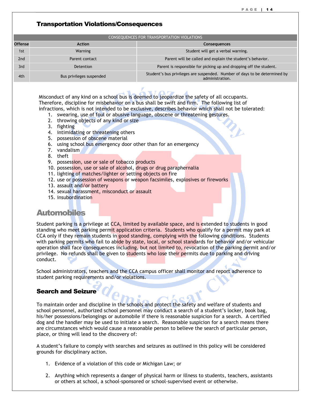### Transportation Violations/Consequences

|                 |                          | CONSEQUENCES FOR TRANSPORTATION VIOLATIONS                                                    |
|-----------------|--------------------------|-----------------------------------------------------------------------------------------------|
| <b>Offense</b>  | <b>Action</b>            | <b>Consequences</b>                                                                           |
| 1st             | Warning                  | Student will get a verbal warning.                                                            |
| 2 <sub>nd</sub> | Parent contact           | Parent will be called and explain the student's behavior.                                     |
| 3rd             | Detention                | Parent is responsible for picking up and dropping off the student.                            |
| 4th             | Bus privileges suspended | Student's bus privileges are suspended. Number of days to be determined by<br>administration. |

Misconduct of any kind on a school bus is deemed to jeopardize the safety of all occupants. Therefore, discipline for misbehavior on a bus shall be swift and firm. The following list of infractions, which is not intended to be exclusive, describes behavior which shall not be tolerated:

- 1. swearing, use of foul or abusive language, obscene or threatening gestures.
- 2. throwing objects of any kind or size
- 3. fighting
- 4. intimidating or threatening others
- 5. possession of obscene material
- 6. using school bus emergency door other than for an emergency
- 7. vandalism
- 8. theft
- 9. possession, use or sale of tobacco products
- 10. possession, use or sale of alcohol, drugs or drug paraphernalia
- 11. lighting of matches/lighter or setting objects on fire
- 12. use or possession of weapons or weapon facsimiles, explosives or fireworks
- 13. assault and/or battery
- 14. sexual harassment, misconduct or assault
- 15. insubordination

# **Automobiles**

Student parking is a privilege at CCA, limited by available space, and is extended to students in good standing who meet parking permit application criteria. Students who qualify for a permit may park at CCA only if they remain students in good standing, complying with the following conditions. Students with parking permits who fail to abide by state, local, or school standards for behavior and/or vehicular operation shall face consequences including, but not limited to, revocation of the parking permit and/or privilege. No refunds shall be given to students who lose their permits due to parking and driving conduct.

School administrators, teachers and the CCA campus officer shall monitor and report adherence to student parking requirements and/or violations.

### Search and Seizure

To maintain order and discipline in the schools and protect the safety and welfare of students and school personnel, authorized school personnel may conduct a search of a student's locker, book bag, his/her possessions/belongings or automobile if there is reasonable suspicion for a search. A certified dog and the handler may be used to initiate a search. Reasonable suspicion for a search means there are circumstances which would cause a reasonable person to believe the search of particular person, place, or thing will lead to the discovery of:

A student's failure to comply with searches and seizures as outlined in this policy will be considered grounds for disciplinary action.

- 1. Evidence of a violation of this code or Michigan Law; or
- 2. Anything which represents a danger of physical harm or illness to students, teachers, assistants or others at school, a school-sponsored or school-supervised event or otherwise.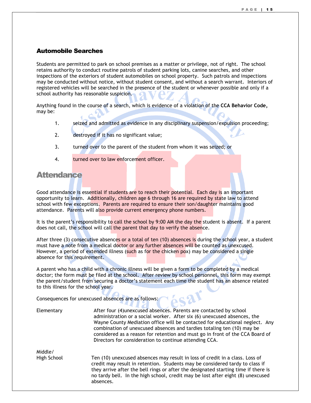### Automobile Searches

Students are permitted to park on school premises as a matter or privilege, not of right. The school retains authority to conduct routine patrols of student parking lots, canine searches, and other inspections of the exteriors of student automobiles on school property. Such patrols and inspections may be conducted without notice, without student consent, and without a search warrant. Interiors of registered vehicles will be searched in the presence of the student or whenever possible and only if a school authority has reasonable suspicion.

Anything found in the course of a search, which is evidence of a violation of the **CCA Behavior Code***,* may be:

- 1. seized and admitted as evidence in any disciplinary suspension/expulsion proceeding;
- 2. destroyed if it has no significant value;
- 3. turned over to the parent of the student from whom it was seized; or
- 4. turned over to law enforcement officer.

### **Attendance**

Good attendance is essential if students are to reach their potential. Each day is an important opportunity to learn. Additionally, children age 6 through 16 are required by state law to attend school with few exceptions. Parents are required to ensure their son/daughter maintains good attendance. Parents will also provide current emergency phone numbers.

It is the parent's responsibility to call the school by 9:00 AM the day the student is absent. If a parent does not call, the school will call the parent that day to verify the absence.

After three  $(3)$  consecutive absences or a total of ten  $(10)$  absences is during the school year, a student must have a note from a medical doctor or any further absences will be counted as unexcused. However, a period of extended illness (such as for the chicken pox) may be considered a single absence for this requirement.

A parent who has a child with a chronic illness will be given a form to be completed by a medical doctor; the form must be filed at the school. After review by school personnel, this form may exempt the parent/student from securing a doctor's statement each time the student has an absence related to this illness for the school year.

Consequences for unexcused absences are as follows:

absences.

| Elementary  | After four (4) unexcused absences. Parents are contacted by school<br>administration or a social worker. After six (6) unexcused absences, the<br>Wayne County Mediation office will be contacted for educational neglect. Any<br>combination of unexcused absences and tardies totaling ten (10) may be<br>considered as a reason for retention and must go in front of the CCA Board of<br>Directors for consideration to continue attending CCA. |
|-------------|-----------------------------------------------------------------------------------------------------------------------------------------------------------------------------------------------------------------------------------------------------------------------------------------------------------------------------------------------------------------------------------------------------------------------------------------------------|
| Middle/     |                                                                                                                                                                                                                                                                                                                                                                                                                                                     |
| High School | Ten (10) unexcused absences may result in loss of credit in a class. Loss of<br>credit may result in retention. Students may be considered tardy to class if<br>they arrive after the bell rings or after the designated starting time if there is                                                                                                                                                                                                  |

no tardy bell. In the high school, credit may be lost after eight (8) unexcused

ésar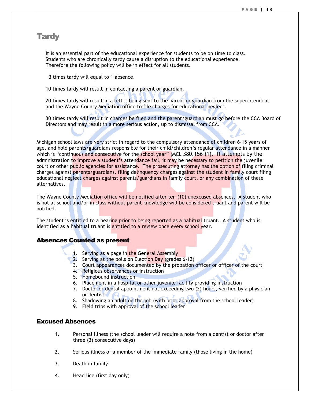### **Tardy**

It is an essential part of the educational experience for students to be on time to class. Students who are chronically tardy cause a disruption to the educational experience. Therefore the following policy will be in effect for all students.

3 times tardy will equal to 1 absence.

10 times tardy will result in contacting a parent or guardian.

20 times tardy will result in a letter being sent to the parent or guardian from the superintendent and the Wayne County Mediation office to file charges for educational neglect.

30 times tardy will result in charges be filed and the parent/guardian must go before the CCA Board of Directors and may result in a more serious action, up to dismissal from CCA.

Michigan school laws are very strict in regard to the compulsory attendance of children 6-15 years of age, and hold parents/guardians responsible for their child/children's regular attendance in a manner which is "continuous and consecutive for the school year" (MCL 380.156 (1). If attempts by the administration to improve a student's attendance fail, it may be necessary to petition the juvenile court or other public agencies for assistance. The prosecuting attorney has the option of filing criminal charges against parents/guardians, filing delinquency charges against the student in family court filing educational neglect charges against parents/guardians in family court, or any combination of these alternatives.

The Wayne County Mediation office will be notified after ten (10) unexcused absences. A student who is not at school and/or in class without parent knowledge will be considered truant and parent will be notified.

The student is entitled to a hearing prior to being reported as a habitual truant. A student who is identified as a habitual truant is entitled to a review once every school year.

### Absences Counted as present

- 1. Serving as a page in the General Assembly
- 2. Serving at the polls on Election Day (grades 6-12)
- 3. Court appearances documented by the probation officer or officer of the court
- 4. Religious observances or instruction
- 5. Homebound instruction
- 6. Placement in a hospital or other juvenile facility providing instruction
- 7. Doctor or dental appointment not exceeding two (2) hours, verified by a physician or dentist
- 8. Shadowing an adult on the job (with prior approval from the school leader)
- 9. Field trips with approval of the school leader

### Excused Absences

- 1. Personal illness (the school leader will require a note from a dentist or doctor after three (3) consecutive days)
- 2. Serious illness of a member of the immediate family (those living in the home)
- 3. Death in family
- 4. Head lice (first day only)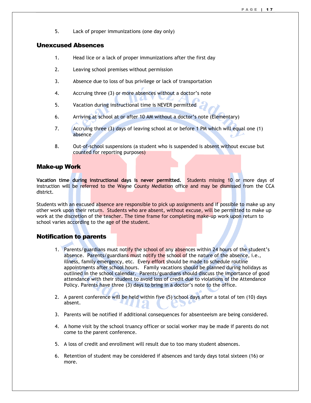5. Lack of proper immunizations (one day only)

### Unexcused Absences

- 1. Head lice or a lack of proper immunizations after the first day
- 2. Leaving school premises without permission
- 3. Absence due to loss of bus privilege or lack of transportation
- 4. Accruing three (3) or more absences without a doctor's note
- 5. Vacation during instructional time is NEVER permitted
- 6. Arriving at school at or after 10 AM without a doctor's note (Elementary)
- 7. Accruing three (3) days of leaving school at or before 1 PM which will equal one (1) absence
- 8. Out-of-school suspensions (a student who is suspended is absent without excuse but counted for reporting purposes)

### Make-up Work

**Vacation time during instructional days is never permitted.** Students missing 10 or more days of instruction will be referred to the Wayne County Mediation office and may be dismissed from the CCA district.

Students with an excused absence are responsible to pick up assignments and if possible to make up any other work upon their return. Students who are absent, without excuse, will be permitted to make up work at the discretion of the teacher. The time frame for completing make-up work upon return to school varies according to the age of the student.

### Notification to parents

- 1. Parents/guardians must notify the school of any absences within 24 hours of the student's absence. Parents/guardians must notify the school of the nature of the absence, i.e., illness, family emergency, etc. Every effort should be made to schedule routine appointments after school hours. Family vacations should be planned during holidays as outlined in the school calendar. Parents/guardians should discuss the importance of good attendance with their student to avoid loss of credit due to violations of the Attendance Policy. Parents have three (3) days to bring in a doctor's note to the office.
- 2. A parent conference will be held within five (5) school days after a total of ten (10) days absent.
- 3. Parents will be notified if additional consequences for absenteeism are being considered.
- 4. A home visit by the school truancy officer or social worker may be made if parents do not come to the parent conference.
- 5. A loss of credit and enrollment will result due to too many student absences.
- 6. Retention of student may be considered if absences and tardy days total sixteen (16) or more.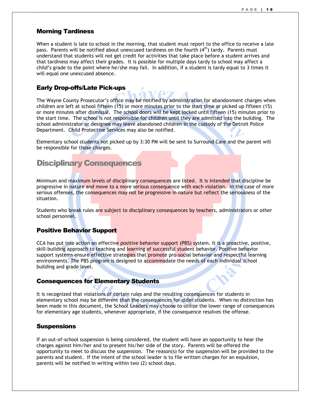### Morning Tardiness

When a student is late to school in the morning, that student must report to the office to receive a late pass. Parents will be notified about unexcused tardiness on the fourth  $(4<sup>th</sup>)$  tardy. Parents must understand that students will not get credit for activities that take place before a student arrives and that tardiness may affect their grades. It is possible for multiple days tardy to school may affect a child's grade to the point where he/she may fail. In addition, if a student is tardy equal to 3 times it will equal one unexcused absence.

### Early Drop-offs/Late Pick-ups

The Wayne County Prosecutor's office may be notified by administration for abandonment charges when children are left at school fifteen (15) or more minutes prior to the start time or picked up fifteen (15) or more minutes after dismissal. The school doors will be kept locked until fifteen (15) minutes prior to the start time. The school is not responsible for children until they are admitted into the building. The school administrator or designee may leave abandoned children in the custody of the Detroit Police Department. Child Protective Services may also be notified.

Elementary school students not picked up by 3:30 PM will be sent to Surround Care and the parent will be responsible for those charges.

### Disciplinary Consequences

Minimum and maximum levels of disciplinary consequences are listed. It is intended that discipline be progressive in nature and move to a more serious consequence with each violation. In the case of more serious offenses, the consequences may not be progressive in nature but reflect the seriousness of the situation.

Students who break rules are subject to disciplinary consequences by teachers, administrators or other school personnel.

### Positive Behavior Support

CCA has put into action an effective positive behavior support (PBS) system. It is a proactive, positive, skill-building approach to teaching and learning of successful student behavior. Positive behavior support systems ensure effective strategies that promote pro-social behavior and respectful learning environments. The PBS program is designed to accommodate the needs of each individual school building and grade level.

#### Consequences for Elementary Students

It is recognized that violations of certain rules and the resulting consequences for students in elementary school may be different than the consequences for older students. When no distinction has been made in this document, the School Leaders may choose to utilize the lower range of consequences for elementary age students, whenever appropriate, if the consequence resolves the offense.

#### **Suspensions**

If an out-of-school suspension is being considered, the student will have an opportunity to hear the charges against him/her and to present his/her side of the story. Parents will be offered the opportunity to meet to discuss the suspension. The reason(s) for the suspension will be provided to the parents and student. If the intent of the school leader is to file written charges for an expulsion, parents will be notified in writing within two (2) school days.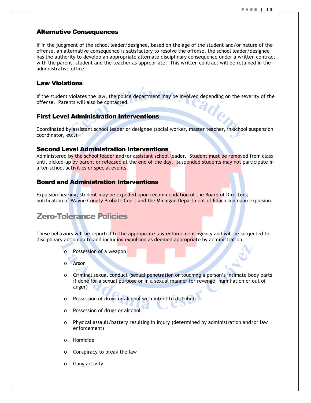### Alternative Consequences

If in the judgment of the school leader/designee, based on the age of the student and/or nature of the offense, an alternative consequence is satisfactory to resolve the offense, the school leader/designee has the authority to develop an appropriate alternate disciplinary consequence under a written contract with the parent, student and the teacher as appropriate. This written contract will be retained in the administrative office.

### Law Violations

If the student violates the law, the police department may be involved depending on the severity of the offense. Parents will also be contacted.

### First Level Administration Interventions

Coordinated by assistant school leader or designee (social worker, master teacher, in-school suspension coordinator, etc.)

### Second Level Administration Interventions

Administered by the school leader and/or assistant school leader. Student must be removed from class until picked-up by parent or released at the end of the day. Suspended students may not participate in after-school activities or special events.

### Board and Administration Interventions

Expulsion hearing; student may be expelled upon recommendation of the Board of Directors; notification of Wayne County Probate Court and the Michigan Department of Education upon expulsion.

# Zero-Tolerance Policies

These behaviors will be reported to the appropriate law enforcement agency and will be subjected to disciplinary action up to and including expulsion as deemed appropriate by administration.

- o Possession of a weapon
- o Arson
- o Criminal sexual conduct (sexual penetration or touching a person's intimate body parts if done for a sexual purpose or in a sexual manner for revenge, humiliation or out of anger)
- o Possession of drugs or alcohol with intent to distribute.
- o Possession of drugs or alcohol
- o Physical assault/battery resulting in injury (determined by administration and/or law enforcement)
- o Homicide
- o Conspiracy to break the law
- o Gang activity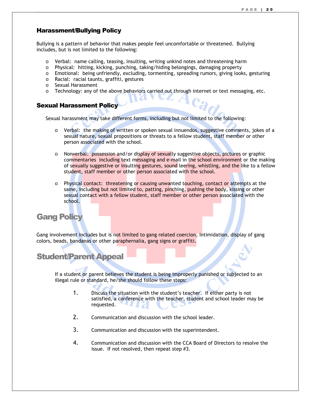### Harassment/Bullying Policy

Bullying is a pattern of behavior that makes people feel uncomfortable or threatened. Bullying includes, but is not limited to the following:

- o Verbal: name calling, teasing, insulting, writing unkind notes and threatening harm
- o Physical: hitting, kicking, punching, taking/hiding belongings, damaging property
- o Emotional: being unfriendly, excluding, tormenting, spreading rumors, giving looks, gesturing
- o Racial: racial taunts, graffiti, gestures
- o Sexual Harassment
- $\circ$  Technology: any of the above behaviors carried out through internet or text messaging, etc.

### Sexual Harassment Policy

Sexual harassment may take different forms, including but not limited to the following:

- o Verbal: the making of written or spoken sexual innuendos, suggestive comments, jokes of a sexual nature, sexual propositions or threats to a fellow student, staff member or other person associated with the school.
- o Nonverbal: possession and/or display of sexually suggestive objects, pictures or graphic commentaries including text messaging and e-mail in the school environment or the making of sexually suggestive or insulting gestures, sound leering, whistling, and the like to a fellow student, staff member or other person associated with the school.
- o Physical contact: threatening or causing unwanted touching, contact or attempts at the same, including but not limited to, patting, pinching, pushing the body, kissing or other sexual contact with a fellow student, staff member or other person associated with the school.

# Gang Policy

Gang involvement includes but is not limited to gang related coercion, intimidation, display of gang colors, beads, bandanas or other paraphernalia, gang signs or graffiti.

# Student/Parent Appeal

If a student or parent believes the student is being improperly punished or subjected to an illegal rule or standard, he/she should follow these steps:

- 1. Discuss the situation with the student's teacher. If either party is not satisfied, a conference with the teacher, student and school leader may be requested.
- 2. Communication and discussion with the school leader.
- 3. Communication and discussion with the superintendent.
- 4. Communication and discussion with the CCA Board of Directors to resolve the issue. If not resolved, then repeat step #3.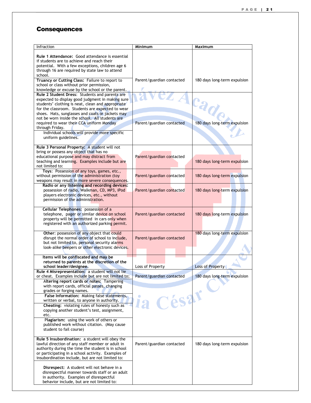### **Consequences**

| Infraction                                                                                          | Minimum                   | Maximum                      |
|-----------------------------------------------------------------------------------------------------|---------------------------|------------------------------|
| Rule 1 Attendance: Good attendance is essential                                                     |                           |                              |
| if students are to achieve and reach their                                                          |                           |                              |
| potential. With a few exceptions, children age 6                                                    |                           |                              |
| through 16 are required by state law to attend                                                      |                           |                              |
| school.                                                                                             |                           |                              |
| Truancy or Cutting Class: Failure to report to                                                      | Parent/guardian contacted | 180 days long-term expulsion |
| school or class without prior permission,<br>knowledge or excuse by the school or the parent.       |                           |                              |
| Rule 2 Student Dress: Students and parents are                                                      | EZACad                    |                              |
| expected to display good judgment in making sure                                                    |                           |                              |
| students' clothing is neat, clean and appropriate                                                   |                           |                              |
| for the classroom. Students are expected to wear                                                    |                           |                              |
| shoes. Hats, sunglasses and coats or jackets may<br>not be worn inside the school. All students are |                           |                              |
| required to wear their CCA uniform Monday                                                           | Parent/guardian contacted | 180 days long-term expulsion |
| through Friday.                                                                                     |                           |                              |
| Individual schools will provide more specific                                                       |                           |                              |
| uniform guidelines.                                                                                 |                           |                              |
| Rule 3 Personal Property: A student will not                                                        |                           |                              |
| bring or possess any object that has no                                                             |                           |                              |
| educational purpose and may distract from                                                           | Parent/guardian contacted |                              |
| teaching and learning. Examples include but are                                                     |                           | 180 days long-term expulsion |
| not limited to:                                                                                     |                           |                              |
| Toys: Possession of any toys, games, etc.,<br>without permission of the administration (toy         | Parent/guardian contacted | 180 days long-term expulsion |
| weapons may result in more severe consequences.                                                     |                           |                              |
| Radio or any listening and recording devices:                                                       |                           |                              |
| possession of radio, Walkman, CD, MP3, iPod                                                         | Parent/guardian contacted | 180 days long-term expulsion |
| players electronic devices, etc., without<br>permission of the administration.                      |                           |                              |
|                                                                                                     |                           |                              |
| Cellular Telephones: possession of a                                                                |                           |                              |
| telephone, pager or similar device on school                                                        | Parent/guardian contacted | 180 days long-term expulsion |
| property will be permitted in cars only when<br>registered with an authorized parking permit.       |                           |                              |
|                                                                                                     |                           |                              |
| Other: possession of any object that could                                                          |                           | 180 days long-term expulsion |
| disrupt the normal order of school to include,<br>but not limited to, personal security alarms      | Parent/guardian contacted |                              |
| look-alike beepers or other electronic devices.                                                     |                           |                              |
|                                                                                                     |                           |                              |
| Items will be confiscated and may be                                                                |                           |                              |
| returned to parents at the discretion of the<br>school leader/designee.                             | Loss of Property          | <b>Loss of Property</b>      |
| Rule 4 Misrepresentation: a student will not tie                                                    |                           |                              |
| or cheat. Examples include but are not limited to;                                                  | Parent/guardian contacted | 180 days long-term expulsion |
| Altering report cards or notes: Tampering                                                           |                           |                              |
| with report cards, official passes, changing<br>grades or forging names.                            |                           |                              |
| False Information: Making false statements,                                                         |                           |                              |
| written or verbal, to anyone in authority.                                                          | ia César                  |                              |
| Cheating: violating rules of honesty such as                                                        |                           |                              |
| copying another student's test, assignment,                                                         |                           |                              |
| etc.<br>Plagiarism: using the work of others or                                                     |                           |                              |
| published work without citation. (May cause                                                         |                           |                              |
| student to fail course)                                                                             |                           |                              |
| Rule 5 Insubordination: a student will obey the                                                     |                           |                              |
| lawful direction of any staff member or adult in                                                    | Parent/guardian contacted | 180 days long-term expulsion |
| authority during the time the student is in school                                                  |                           |                              |
| or participating in a school activity. Examples of                                                  |                           |                              |
| insubordination include, but are not limited to:                                                    |                           |                              |
| Disrespect: A student will not behave in a                                                          |                           |                              |
| disrespectful manner towards staff or an adult                                                      |                           |                              |
| in authority. Examples of disrespectful                                                             |                           |                              |
| behavior include, but are not limited to:                                                           |                           |                              |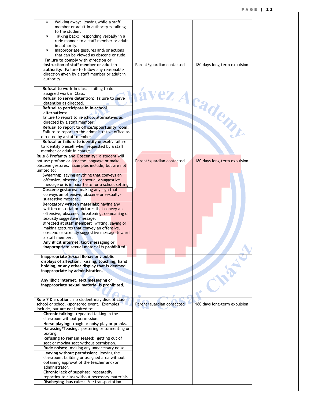| ⋗<br>member or adult in authority is talking<br>to the student<br>Talking back: responding verbally in a<br>⋗<br>rude manner to a staff member or adult<br>in authority.<br>Inappropriate gestures and/or actions<br>➤<br>that can be viewed as obscene or rude.<br>Failure to comply with direction or<br>instruction of staff member or adult in<br>180 days long-term expulsion<br>Parent/guardian contacted<br><b>authority:</b> Failure to follow any reasonable<br>direction given by a staff member or adult in<br>authority.<br>Refusal to work in class: failing to do<br>vez Academy<br>assigned work in Class.<br>Refusal to serve detention: failure to serve<br>detention as directed.<br>Refusal to participate in In-school<br>alternatives:<br>failure to report to in-school alternatives as<br>directed by a staff member.<br>Refusal to report to office/opportunity room:<br>Failure to report to the administrative office as<br>directed by a staff member<br>Refusal or failure to identify oneself: failure<br>to identify oneself when requested by a staff<br>member or adult in charge.<br>Rule 6 Profanity and Obscenity: a student will<br>not use profane or obscene language or make<br>Parent/guardian contacted<br>180 days long-term expulsion<br>obscene gestures. Examples include, but are not<br>limited to;<br>Swearing: saying anything that conveys an<br>offensive, obscene, or sexually suggestive<br>message or is in poor taste for a school setting<br>Obscene gestures: making any sign that<br>conveys an offensive, obscene or sexually-<br>suggestive message.<br>Derogatory written materials: having any<br>written material or pictures that convey an<br>offensive, obscene, threatening, demeaning or<br>sexually suggestive message.<br>Directed at staff member: writing, saying or<br>making gestures that convey an offensive,<br>obscene or sexually suggestive message toward<br>a staff member.<br>Any illicit internet, text messaging or<br>inappropriate sexual material is prohibited.<br>Inappropriate Sexual Behavior: public<br>displays of affection, kissing, touching, hand<br>holding, or any other display that is deemed<br>inappropriate by administration.<br>Any illicit internet, text messaging or<br>inappropriate sexual material is prohibited.<br>Rule 7 Disruption: no student may disrupt class,<br>school or school -sponsored event. Examples<br>180 days long-term expulsion<br>Parent/guardian contacted<br>include, but are not limited to:<br>Chronic talking: repeated talking in the<br>classroom without permission.<br>Horse playing: rough or noisy play or pranks.<br>Harassing/Teasing: pestering or tormenting or<br>texting.<br>Refusing to remain seated: getting out of<br>seat or moving seat without permission.<br>Rude noises: making any unnecessary noise.<br>Leaving without permission: leaving the<br>classroom, building or assigned area without<br>obtaining approval of the teacher and/or<br>administrator.<br>Chronic lack of supplies: repeatedly<br>reporting to class without necessary materials. |                                          |  |
|-----------------------------------------------------------------------------------------------------------------------------------------------------------------------------------------------------------------------------------------------------------------------------------------------------------------------------------------------------------------------------------------------------------------------------------------------------------------------------------------------------------------------------------------------------------------------------------------------------------------------------------------------------------------------------------------------------------------------------------------------------------------------------------------------------------------------------------------------------------------------------------------------------------------------------------------------------------------------------------------------------------------------------------------------------------------------------------------------------------------------------------------------------------------------------------------------------------------------------------------------------------------------------------------------------------------------------------------------------------------------------------------------------------------------------------------------------------------------------------------------------------------------------------------------------------------------------------------------------------------------------------------------------------------------------------------------------------------------------------------------------------------------------------------------------------------------------------------------------------------------------------------------------------------------------------------------------------------------------------------------------------------------------------------------------------------------------------------------------------------------------------------------------------------------------------------------------------------------------------------------------------------------------------------------------------------------------------------------------------------------------------------------------------------------------------------------------------------------------------------------------------------------------------------------------------------------------------------------------------------------------------------------------------------------------------------------------------------------------------------------------------------------------------------------------------------------------------------------------------------------------------------------------------------------------------------------------------------------------------------------------------------------------------------------------------------------------------------------------------------------------|------------------------------------------|--|
|                                                                                                                                                                                                                                                                                                                                                                                                                                                                                                                                                                                                                                                                                                                                                                                                                                                                                                                                                                                                                                                                                                                                                                                                                                                                                                                                                                                                                                                                                                                                                                                                                                                                                                                                                                                                                                                                                                                                                                                                                                                                                                                                                                                                                                                                                                                                                                                                                                                                                                                                                                                                                                                                                                                                                                                                                                                                                                                                                                                                                                                                                                                             | Walking away: leaving while a staff      |  |
|                                                                                                                                                                                                                                                                                                                                                                                                                                                                                                                                                                                                                                                                                                                                                                                                                                                                                                                                                                                                                                                                                                                                                                                                                                                                                                                                                                                                                                                                                                                                                                                                                                                                                                                                                                                                                                                                                                                                                                                                                                                                                                                                                                                                                                                                                                                                                                                                                                                                                                                                                                                                                                                                                                                                                                                                                                                                                                                                                                                                                                                                                                                             |                                          |  |
|                                                                                                                                                                                                                                                                                                                                                                                                                                                                                                                                                                                                                                                                                                                                                                                                                                                                                                                                                                                                                                                                                                                                                                                                                                                                                                                                                                                                                                                                                                                                                                                                                                                                                                                                                                                                                                                                                                                                                                                                                                                                                                                                                                                                                                                                                                                                                                                                                                                                                                                                                                                                                                                                                                                                                                                                                                                                                                                                                                                                                                                                                                                             |                                          |  |
|                                                                                                                                                                                                                                                                                                                                                                                                                                                                                                                                                                                                                                                                                                                                                                                                                                                                                                                                                                                                                                                                                                                                                                                                                                                                                                                                                                                                                                                                                                                                                                                                                                                                                                                                                                                                                                                                                                                                                                                                                                                                                                                                                                                                                                                                                                                                                                                                                                                                                                                                                                                                                                                                                                                                                                                                                                                                                                                                                                                                                                                                                                                             |                                          |  |
|                                                                                                                                                                                                                                                                                                                                                                                                                                                                                                                                                                                                                                                                                                                                                                                                                                                                                                                                                                                                                                                                                                                                                                                                                                                                                                                                                                                                                                                                                                                                                                                                                                                                                                                                                                                                                                                                                                                                                                                                                                                                                                                                                                                                                                                                                                                                                                                                                                                                                                                                                                                                                                                                                                                                                                                                                                                                                                                                                                                                                                                                                                                             |                                          |  |
|                                                                                                                                                                                                                                                                                                                                                                                                                                                                                                                                                                                                                                                                                                                                                                                                                                                                                                                                                                                                                                                                                                                                                                                                                                                                                                                                                                                                                                                                                                                                                                                                                                                                                                                                                                                                                                                                                                                                                                                                                                                                                                                                                                                                                                                                                                                                                                                                                                                                                                                                                                                                                                                                                                                                                                                                                                                                                                                                                                                                                                                                                                                             |                                          |  |
|                                                                                                                                                                                                                                                                                                                                                                                                                                                                                                                                                                                                                                                                                                                                                                                                                                                                                                                                                                                                                                                                                                                                                                                                                                                                                                                                                                                                                                                                                                                                                                                                                                                                                                                                                                                                                                                                                                                                                                                                                                                                                                                                                                                                                                                                                                                                                                                                                                                                                                                                                                                                                                                                                                                                                                                                                                                                                                                                                                                                                                                                                                                             |                                          |  |
|                                                                                                                                                                                                                                                                                                                                                                                                                                                                                                                                                                                                                                                                                                                                                                                                                                                                                                                                                                                                                                                                                                                                                                                                                                                                                                                                                                                                                                                                                                                                                                                                                                                                                                                                                                                                                                                                                                                                                                                                                                                                                                                                                                                                                                                                                                                                                                                                                                                                                                                                                                                                                                                                                                                                                                                                                                                                                                                                                                                                                                                                                                                             |                                          |  |
|                                                                                                                                                                                                                                                                                                                                                                                                                                                                                                                                                                                                                                                                                                                                                                                                                                                                                                                                                                                                                                                                                                                                                                                                                                                                                                                                                                                                                                                                                                                                                                                                                                                                                                                                                                                                                                                                                                                                                                                                                                                                                                                                                                                                                                                                                                                                                                                                                                                                                                                                                                                                                                                                                                                                                                                                                                                                                                                                                                                                                                                                                                                             |                                          |  |
|                                                                                                                                                                                                                                                                                                                                                                                                                                                                                                                                                                                                                                                                                                                                                                                                                                                                                                                                                                                                                                                                                                                                                                                                                                                                                                                                                                                                                                                                                                                                                                                                                                                                                                                                                                                                                                                                                                                                                                                                                                                                                                                                                                                                                                                                                                                                                                                                                                                                                                                                                                                                                                                                                                                                                                                                                                                                                                                                                                                                                                                                                                                             |                                          |  |
|                                                                                                                                                                                                                                                                                                                                                                                                                                                                                                                                                                                                                                                                                                                                                                                                                                                                                                                                                                                                                                                                                                                                                                                                                                                                                                                                                                                                                                                                                                                                                                                                                                                                                                                                                                                                                                                                                                                                                                                                                                                                                                                                                                                                                                                                                                                                                                                                                                                                                                                                                                                                                                                                                                                                                                                                                                                                                                                                                                                                                                                                                                                             |                                          |  |
|                                                                                                                                                                                                                                                                                                                                                                                                                                                                                                                                                                                                                                                                                                                                                                                                                                                                                                                                                                                                                                                                                                                                                                                                                                                                                                                                                                                                                                                                                                                                                                                                                                                                                                                                                                                                                                                                                                                                                                                                                                                                                                                                                                                                                                                                                                                                                                                                                                                                                                                                                                                                                                                                                                                                                                                                                                                                                                                                                                                                                                                                                                                             |                                          |  |
|                                                                                                                                                                                                                                                                                                                                                                                                                                                                                                                                                                                                                                                                                                                                                                                                                                                                                                                                                                                                                                                                                                                                                                                                                                                                                                                                                                                                                                                                                                                                                                                                                                                                                                                                                                                                                                                                                                                                                                                                                                                                                                                                                                                                                                                                                                                                                                                                                                                                                                                                                                                                                                                                                                                                                                                                                                                                                                                                                                                                                                                                                                                             |                                          |  |
|                                                                                                                                                                                                                                                                                                                                                                                                                                                                                                                                                                                                                                                                                                                                                                                                                                                                                                                                                                                                                                                                                                                                                                                                                                                                                                                                                                                                                                                                                                                                                                                                                                                                                                                                                                                                                                                                                                                                                                                                                                                                                                                                                                                                                                                                                                                                                                                                                                                                                                                                                                                                                                                                                                                                                                                                                                                                                                                                                                                                                                                                                                                             |                                          |  |
|                                                                                                                                                                                                                                                                                                                                                                                                                                                                                                                                                                                                                                                                                                                                                                                                                                                                                                                                                                                                                                                                                                                                                                                                                                                                                                                                                                                                                                                                                                                                                                                                                                                                                                                                                                                                                                                                                                                                                                                                                                                                                                                                                                                                                                                                                                                                                                                                                                                                                                                                                                                                                                                                                                                                                                                                                                                                                                                                                                                                                                                                                                                             |                                          |  |
|                                                                                                                                                                                                                                                                                                                                                                                                                                                                                                                                                                                                                                                                                                                                                                                                                                                                                                                                                                                                                                                                                                                                                                                                                                                                                                                                                                                                                                                                                                                                                                                                                                                                                                                                                                                                                                                                                                                                                                                                                                                                                                                                                                                                                                                                                                                                                                                                                                                                                                                                                                                                                                                                                                                                                                                                                                                                                                                                                                                                                                                                                                                             |                                          |  |
|                                                                                                                                                                                                                                                                                                                                                                                                                                                                                                                                                                                                                                                                                                                                                                                                                                                                                                                                                                                                                                                                                                                                                                                                                                                                                                                                                                                                                                                                                                                                                                                                                                                                                                                                                                                                                                                                                                                                                                                                                                                                                                                                                                                                                                                                                                                                                                                                                                                                                                                                                                                                                                                                                                                                                                                                                                                                                                                                                                                                                                                                                                                             |                                          |  |
|                                                                                                                                                                                                                                                                                                                                                                                                                                                                                                                                                                                                                                                                                                                                                                                                                                                                                                                                                                                                                                                                                                                                                                                                                                                                                                                                                                                                                                                                                                                                                                                                                                                                                                                                                                                                                                                                                                                                                                                                                                                                                                                                                                                                                                                                                                                                                                                                                                                                                                                                                                                                                                                                                                                                                                                                                                                                                                                                                                                                                                                                                                                             |                                          |  |
|                                                                                                                                                                                                                                                                                                                                                                                                                                                                                                                                                                                                                                                                                                                                                                                                                                                                                                                                                                                                                                                                                                                                                                                                                                                                                                                                                                                                                                                                                                                                                                                                                                                                                                                                                                                                                                                                                                                                                                                                                                                                                                                                                                                                                                                                                                                                                                                                                                                                                                                                                                                                                                                                                                                                                                                                                                                                                                                                                                                                                                                                                                                             |                                          |  |
|                                                                                                                                                                                                                                                                                                                                                                                                                                                                                                                                                                                                                                                                                                                                                                                                                                                                                                                                                                                                                                                                                                                                                                                                                                                                                                                                                                                                                                                                                                                                                                                                                                                                                                                                                                                                                                                                                                                                                                                                                                                                                                                                                                                                                                                                                                                                                                                                                                                                                                                                                                                                                                                                                                                                                                                                                                                                                                                                                                                                                                                                                                                             |                                          |  |
|                                                                                                                                                                                                                                                                                                                                                                                                                                                                                                                                                                                                                                                                                                                                                                                                                                                                                                                                                                                                                                                                                                                                                                                                                                                                                                                                                                                                                                                                                                                                                                                                                                                                                                                                                                                                                                                                                                                                                                                                                                                                                                                                                                                                                                                                                                                                                                                                                                                                                                                                                                                                                                                                                                                                                                                                                                                                                                                                                                                                                                                                                                                             |                                          |  |
|                                                                                                                                                                                                                                                                                                                                                                                                                                                                                                                                                                                                                                                                                                                                                                                                                                                                                                                                                                                                                                                                                                                                                                                                                                                                                                                                                                                                                                                                                                                                                                                                                                                                                                                                                                                                                                                                                                                                                                                                                                                                                                                                                                                                                                                                                                                                                                                                                                                                                                                                                                                                                                                                                                                                                                                                                                                                                                                                                                                                                                                                                                                             |                                          |  |
|                                                                                                                                                                                                                                                                                                                                                                                                                                                                                                                                                                                                                                                                                                                                                                                                                                                                                                                                                                                                                                                                                                                                                                                                                                                                                                                                                                                                                                                                                                                                                                                                                                                                                                                                                                                                                                                                                                                                                                                                                                                                                                                                                                                                                                                                                                                                                                                                                                                                                                                                                                                                                                                                                                                                                                                                                                                                                                                                                                                                                                                                                                                             |                                          |  |
|                                                                                                                                                                                                                                                                                                                                                                                                                                                                                                                                                                                                                                                                                                                                                                                                                                                                                                                                                                                                                                                                                                                                                                                                                                                                                                                                                                                                                                                                                                                                                                                                                                                                                                                                                                                                                                                                                                                                                                                                                                                                                                                                                                                                                                                                                                                                                                                                                                                                                                                                                                                                                                                                                                                                                                                                                                                                                                                                                                                                                                                                                                                             |                                          |  |
|                                                                                                                                                                                                                                                                                                                                                                                                                                                                                                                                                                                                                                                                                                                                                                                                                                                                                                                                                                                                                                                                                                                                                                                                                                                                                                                                                                                                                                                                                                                                                                                                                                                                                                                                                                                                                                                                                                                                                                                                                                                                                                                                                                                                                                                                                                                                                                                                                                                                                                                                                                                                                                                                                                                                                                                                                                                                                                                                                                                                                                                                                                                             |                                          |  |
|                                                                                                                                                                                                                                                                                                                                                                                                                                                                                                                                                                                                                                                                                                                                                                                                                                                                                                                                                                                                                                                                                                                                                                                                                                                                                                                                                                                                                                                                                                                                                                                                                                                                                                                                                                                                                                                                                                                                                                                                                                                                                                                                                                                                                                                                                                                                                                                                                                                                                                                                                                                                                                                                                                                                                                                                                                                                                                                                                                                                                                                                                                                             |                                          |  |
|                                                                                                                                                                                                                                                                                                                                                                                                                                                                                                                                                                                                                                                                                                                                                                                                                                                                                                                                                                                                                                                                                                                                                                                                                                                                                                                                                                                                                                                                                                                                                                                                                                                                                                                                                                                                                                                                                                                                                                                                                                                                                                                                                                                                                                                                                                                                                                                                                                                                                                                                                                                                                                                                                                                                                                                                                                                                                                                                                                                                                                                                                                                             |                                          |  |
|                                                                                                                                                                                                                                                                                                                                                                                                                                                                                                                                                                                                                                                                                                                                                                                                                                                                                                                                                                                                                                                                                                                                                                                                                                                                                                                                                                                                                                                                                                                                                                                                                                                                                                                                                                                                                                                                                                                                                                                                                                                                                                                                                                                                                                                                                                                                                                                                                                                                                                                                                                                                                                                                                                                                                                                                                                                                                                                                                                                                                                                                                                                             |                                          |  |
|                                                                                                                                                                                                                                                                                                                                                                                                                                                                                                                                                                                                                                                                                                                                                                                                                                                                                                                                                                                                                                                                                                                                                                                                                                                                                                                                                                                                                                                                                                                                                                                                                                                                                                                                                                                                                                                                                                                                                                                                                                                                                                                                                                                                                                                                                                                                                                                                                                                                                                                                                                                                                                                                                                                                                                                                                                                                                                                                                                                                                                                                                                                             |                                          |  |
|                                                                                                                                                                                                                                                                                                                                                                                                                                                                                                                                                                                                                                                                                                                                                                                                                                                                                                                                                                                                                                                                                                                                                                                                                                                                                                                                                                                                                                                                                                                                                                                                                                                                                                                                                                                                                                                                                                                                                                                                                                                                                                                                                                                                                                                                                                                                                                                                                                                                                                                                                                                                                                                                                                                                                                                                                                                                                                                                                                                                                                                                                                                             |                                          |  |
|                                                                                                                                                                                                                                                                                                                                                                                                                                                                                                                                                                                                                                                                                                                                                                                                                                                                                                                                                                                                                                                                                                                                                                                                                                                                                                                                                                                                                                                                                                                                                                                                                                                                                                                                                                                                                                                                                                                                                                                                                                                                                                                                                                                                                                                                                                                                                                                                                                                                                                                                                                                                                                                                                                                                                                                                                                                                                                                                                                                                                                                                                                                             |                                          |  |
|                                                                                                                                                                                                                                                                                                                                                                                                                                                                                                                                                                                                                                                                                                                                                                                                                                                                                                                                                                                                                                                                                                                                                                                                                                                                                                                                                                                                                                                                                                                                                                                                                                                                                                                                                                                                                                                                                                                                                                                                                                                                                                                                                                                                                                                                                                                                                                                                                                                                                                                                                                                                                                                                                                                                                                                                                                                                                                                                                                                                                                                                                                                             |                                          |  |
|                                                                                                                                                                                                                                                                                                                                                                                                                                                                                                                                                                                                                                                                                                                                                                                                                                                                                                                                                                                                                                                                                                                                                                                                                                                                                                                                                                                                                                                                                                                                                                                                                                                                                                                                                                                                                                                                                                                                                                                                                                                                                                                                                                                                                                                                                                                                                                                                                                                                                                                                                                                                                                                                                                                                                                                                                                                                                                                                                                                                                                                                                                                             |                                          |  |
|                                                                                                                                                                                                                                                                                                                                                                                                                                                                                                                                                                                                                                                                                                                                                                                                                                                                                                                                                                                                                                                                                                                                                                                                                                                                                                                                                                                                                                                                                                                                                                                                                                                                                                                                                                                                                                                                                                                                                                                                                                                                                                                                                                                                                                                                                                                                                                                                                                                                                                                                                                                                                                                                                                                                                                                                                                                                                                                                                                                                                                                                                                                             |                                          |  |
|                                                                                                                                                                                                                                                                                                                                                                                                                                                                                                                                                                                                                                                                                                                                                                                                                                                                                                                                                                                                                                                                                                                                                                                                                                                                                                                                                                                                                                                                                                                                                                                                                                                                                                                                                                                                                                                                                                                                                                                                                                                                                                                                                                                                                                                                                                                                                                                                                                                                                                                                                                                                                                                                                                                                                                                                                                                                                                                                                                                                                                                                                                                             |                                          |  |
|                                                                                                                                                                                                                                                                                                                                                                                                                                                                                                                                                                                                                                                                                                                                                                                                                                                                                                                                                                                                                                                                                                                                                                                                                                                                                                                                                                                                                                                                                                                                                                                                                                                                                                                                                                                                                                                                                                                                                                                                                                                                                                                                                                                                                                                                                                                                                                                                                                                                                                                                                                                                                                                                                                                                                                                                                                                                                                                                                                                                                                                                                                                             |                                          |  |
|                                                                                                                                                                                                                                                                                                                                                                                                                                                                                                                                                                                                                                                                                                                                                                                                                                                                                                                                                                                                                                                                                                                                                                                                                                                                                                                                                                                                                                                                                                                                                                                                                                                                                                                                                                                                                                                                                                                                                                                                                                                                                                                                                                                                                                                                                                                                                                                                                                                                                                                                                                                                                                                                                                                                                                                                                                                                                                                                                                                                                                                                                                                             |                                          |  |
|                                                                                                                                                                                                                                                                                                                                                                                                                                                                                                                                                                                                                                                                                                                                                                                                                                                                                                                                                                                                                                                                                                                                                                                                                                                                                                                                                                                                                                                                                                                                                                                                                                                                                                                                                                                                                                                                                                                                                                                                                                                                                                                                                                                                                                                                                                                                                                                                                                                                                                                                                                                                                                                                                                                                                                                                                                                                                                                                                                                                                                                                                                                             |                                          |  |
|                                                                                                                                                                                                                                                                                                                                                                                                                                                                                                                                                                                                                                                                                                                                                                                                                                                                                                                                                                                                                                                                                                                                                                                                                                                                                                                                                                                                                                                                                                                                                                                                                                                                                                                                                                                                                                                                                                                                                                                                                                                                                                                                                                                                                                                                                                                                                                                                                                                                                                                                                                                                                                                                                                                                                                                                                                                                                                                                                                                                                                                                                                                             |                                          |  |
|                                                                                                                                                                                                                                                                                                                                                                                                                                                                                                                                                                                                                                                                                                                                                                                                                                                                                                                                                                                                                                                                                                                                                                                                                                                                                                                                                                                                                                                                                                                                                                                                                                                                                                                                                                                                                                                                                                                                                                                                                                                                                                                                                                                                                                                                                                                                                                                                                                                                                                                                                                                                                                                                                                                                                                                                                                                                                                                                                                                                                                                                                                                             |                                          |  |
|                                                                                                                                                                                                                                                                                                                                                                                                                                                                                                                                                                                                                                                                                                                                                                                                                                                                                                                                                                                                                                                                                                                                                                                                                                                                                                                                                                                                                                                                                                                                                                                                                                                                                                                                                                                                                                                                                                                                                                                                                                                                                                                                                                                                                                                                                                                                                                                                                                                                                                                                                                                                                                                                                                                                                                                                                                                                                                                                                                                                                                                                                                                             |                                          |  |
|                                                                                                                                                                                                                                                                                                                                                                                                                                                                                                                                                                                                                                                                                                                                                                                                                                                                                                                                                                                                                                                                                                                                                                                                                                                                                                                                                                                                                                                                                                                                                                                                                                                                                                                                                                                                                                                                                                                                                                                                                                                                                                                                                                                                                                                                                                                                                                                                                                                                                                                                                                                                                                                                                                                                                                                                                                                                                                                                                                                                                                                                                                                             |                                          |  |
|                                                                                                                                                                                                                                                                                                                                                                                                                                                                                                                                                                                                                                                                                                                                                                                                                                                                                                                                                                                                                                                                                                                                                                                                                                                                                                                                                                                                                                                                                                                                                                                                                                                                                                                                                                                                                                                                                                                                                                                                                                                                                                                                                                                                                                                                                                                                                                                                                                                                                                                                                                                                                                                                                                                                                                                                                                                                                                                                                                                                                                                                                                                             |                                          |  |
|                                                                                                                                                                                                                                                                                                                                                                                                                                                                                                                                                                                                                                                                                                                                                                                                                                                                                                                                                                                                                                                                                                                                                                                                                                                                                                                                                                                                                                                                                                                                                                                                                                                                                                                                                                                                                                                                                                                                                                                                                                                                                                                                                                                                                                                                                                                                                                                                                                                                                                                                                                                                                                                                                                                                                                                                                                                                                                                                                                                                                                                                                                                             |                                          |  |
|                                                                                                                                                                                                                                                                                                                                                                                                                                                                                                                                                                                                                                                                                                                                                                                                                                                                                                                                                                                                                                                                                                                                                                                                                                                                                                                                                                                                                                                                                                                                                                                                                                                                                                                                                                                                                                                                                                                                                                                                                                                                                                                                                                                                                                                                                                                                                                                                                                                                                                                                                                                                                                                                                                                                                                                                                                                                                                                                                                                                                                                                                                                             |                                          |  |
|                                                                                                                                                                                                                                                                                                                                                                                                                                                                                                                                                                                                                                                                                                                                                                                                                                                                                                                                                                                                                                                                                                                                                                                                                                                                                                                                                                                                                                                                                                                                                                                                                                                                                                                                                                                                                                                                                                                                                                                                                                                                                                                                                                                                                                                                                                                                                                                                                                                                                                                                                                                                                                                                                                                                                                                                                                                                                                                                                                                                                                                                                                                             |                                          |  |
|                                                                                                                                                                                                                                                                                                                                                                                                                                                                                                                                                                                                                                                                                                                                                                                                                                                                                                                                                                                                                                                                                                                                                                                                                                                                                                                                                                                                                                                                                                                                                                                                                                                                                                                                                                                                                                                                                                                                                                                                                                                                                                                                                                                                                                                                                                                                                                                                                                                                                                                                                                                                                                                                                                                                                                                                                                                                                                                                                                                                                                                                                                                             |                                          |  |
|                                                                                                                                                                                                                                                                                                                                                                                                                                                                                                                                                                                                                                                                                                                                                                                                                                                                                                                                                                                                                                                                                                                                                                                                                                                                                                                                                                                                                                                                                                                                                                                                                                                                                                                                                                                                                                                                                                                                                                                                                                                                                                                                                                                                                                                                                                                                                                                                                                                                                                                                                                                                                                                                                                                                                                                                                                                                                                                                                                                                                                                                                                                             |                                          |  |
|                                                                                                                                                                                                                                                                                                                                                                                                                                                                                                                                                                                                                                                                                                                                                                                                                                                                                                                                                                                                                                                                                                                                                                                                                                                                                                                                                                                                                                                                                                                                                                                                                                                                                                                                                                                                                                                                                                                                                                                                                                                                                                                                                                                                                                                                                                                                                                                                                                                                                                                                                                                                                                                                                                                                                                                                                                                                                                                                                                                                                                                                                                                             |                                          |  |
|                                                                                                                                                                                                                                                                                                                                                                                                                                                                                                                                                                                                                                                                                                                                                                                                                                                                                                                                                                                                                                                                                                                                                                                                                                                                                                                                                                                                                                                                                                                                                                                                                                                                                                                                                                                                                                                                                                                                                                                                                                                                                                                                                                                                                                                                                                                                                                                                                                                                                                                                                                                                                                                                                                                                                                                                                                                                                                                                                                                                                                                                                                                             |                                          |  |
|                                                                                                                                                                                                                                                                                                                                                                                                                                                                                                                                                                                                                                                                                                                                                                                                                                                                                                                                                                                                                                                                                                                                                                                                                                                                                                                                                                                                                                                                                                                                                                                                                                                                                                                                                                                                                                                                                                                                                                                                                                                                                                                                                                                                                                                                                                                                                                                                                                                                                                                                                                                                                                                                                                                                                                                                                                                                                                                                                                                                                                                                                                                             |                                          |  |
|                                                                                                                                                                                                                                                                                                                                                                                                                                                                                                                                                                                                                                                                                                                                                                                                                                                                                                                                                                                                                                                                                                                                                                                                                                                                                                                                                                                                                                                                                                                                                                                                                                                                                                                                                                                                                                                                                                                                                                                                                                                                                                                                                                                                                                                                                                                                                                                                                                                                                                                                                                                                                                                                                                                                                                                                                                                                                                                                                                                                                                                                                                                             |                                          |  |
|                                                                                                                                                                                                                                                                                                                                                                                                                                                                                                                                                                                                                                                                                                                                                                                                                                                                                                                                                                                                                                                                                                                                                                                                                                                                                                                                                                                                                                                                                                                                                                                                                                                                                                                                                                                                                                                                                                                                                                                                                                                                                                                                                                                                                                                                                                                                                                                                                                                                                                                                                                                                                                                                                                                                                                                                                                                                                                                                                                                                                                                                                                                             |                                          |  |
|                                                                                                                                                                                                                                                                                                                                                                                                                                                                                                                                                                                                                                                                                                                                                                                                                                                                                                                                                                                                                                                                                                                                                                                                                                                                                                                                                                                                                                                                                                                                                                                                                                                                                                                                                                                                                                                                                                                                                                                                                                                                                                                                                                                                                                                                                                                                                                                                                                                                                                                                                                                                                                                                                                                                                                                                                                                                                                                                                                                                                                                                                                                             |                                          |  |
|                                                                                                                                                                                                                                                                                                                                                                                                                                                                                                                                                                                                                                                                                                                                                                                                                                                                                                                                                                                                                                                                                                                                                                                                                                                                                                                                                                                                                                                                                                                                                                                                                                                                                                                                                                                                                                                                                                                                                                                                                                                                                                                                                                                                                                                                                                                                                                                                                                                                                                                                                                                                                                                                                                                                                                                                                                                                                                                                                                                                                                                                                                                             | Disobeying bus rules: See transportation |  |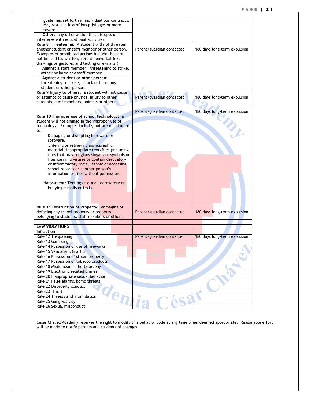| guidelines set forth in individual bus contracts.  |                           |                              |
|----------------------------------------------------|---------------------------|------------------------------|
| May result in loss of bus privileges or more       |                           |                              |
| severe.                                            |                           |                              |
| Other: any other action that disrupts or           |                           |                              |
| interferes with educational activities.            |                           |                              |
| Rule 8 Threatening: A student will not threaten    |                           |                              |
| another student or staff member or other person.   | Parent/guardian contacted | 180 days long-term expulsion |
| Examples of prohibited actions include, but are    |                           |                              |
| not limited to, written, verbal-nonverbal (ex.     |                           |                              |
|                                                    |                           |                              |
| drawings or gestures and texting or e-mails.)      |                           |                              |
| Against a staff member: threatening to strike,     |                           |                              |
| attack or harm any staff member.                   |                           |                              |
| Against a student or other person:                 |                           |                              |
| threatening to strike, attack or harm any          |                           |                              |
| student or other person.                           |                           |                              |
| Rule 9 Injury to others: a student will not cause  |                           |                              |
| or attempt to cause physical injury to other       | Parent/guardian contacted | 180 days long-term expulsion |
| students, staff members, animals or others.        |                           |                              |
|                                                    |                           |                              |
|                                                    | Parent/guardian contacted | 180 days long-term expulsion |
| Rule 10 Improper use of school technology: a       |                           |                              |
| student will not engage in the improper use of     |                           |                              |
| technology. Examples include, but are not limited  |                           |                              |
| to:                                                |                           |                              |
| Damaging or disrupting hardware or                 |                           | <b>SIDE</b>                  |
| software.                                          |                           |                              |
|                                                    |                           |                              |
| Entering or retrieving pornographic                |                           |                              |
| material, inappropriate text/files (including      |                           |                              |
| files that may religious slogans or symbols or     |                           |                              |
| files carrying viruses or contain derogatory       |                           |                              |
|                                                    |                           |                              |
| or inflammatory racial, ethnic or accessing        |                           |                              |
| school records or another person's                 |                           |                              |
| information or files without permission.           |                           |                              |
|                                                    |                           |                              |
| Harassment: Texting or e-mail derogatory or        |                           |                              |
| bullying e-mails or texts.                         |                           |                              |
|                                                    |                           |                              |
|                                                    |                           |                              |
|                                                    |                           |                              |
|                                                    |                           |                              |
| Rule 11 Destruction of Property: damaging or       |                           |                              |
| defacing any school property or property           | Parent/guardian contacted | 180 days long-term expulsion |
| belonging to students, staff members or others.    |                           |                              |
|                                                    |                           |                              |
| <b>LAW VIOLATIONS</b>                              |                           |                              |
| <b>Infraction</b>                                  |                           |                              |
| Rule 12 Trespassing                                | Parent/guardian contacted | 180 days long-term expulsion |
| Rule 13 Gambling                                   |                           |                              |
| Rule 14 Possession or use of fireworks             |                           |                              |
| Rule 15 Vandalism/Graffiti                         |                           |                              |
| Rule 16 Possession of stolen property              |                           |                              |
| Rule 17 Possession of tobacco products             |                           |                              |
| Rule 18 Misdemeanor theft/larceny                  |                           |                              |
| Rule 19 Electronic related crimes                  |                           |                              |
|                                                    |                           |                              |
| Rule 20 Inappropriate sexual behavior              |                           |                              |
| Rule 21 False alarms/bomb threats                  |                           |                              |
| Rule 22 Disorderly conduct                         |                           |                              |
| Rule 23 Theft                                      |                           |                              |
| Rule 24 Threats and intimidation                   | o                         |                              |
| Rule 25 Gang activity<br>Rule 26 Sexual misconduct |                           |                              |

César Chávez Academy reserves the right to modify this behavior code at any time when deemed appropriate. Reasonable effort will be made to notify parents and students of changes.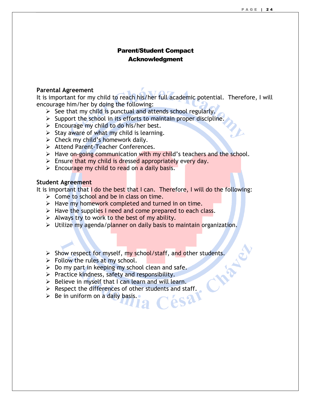### Parent/Student Compact Acknowledgment

### **Parental Agreement**

It is important for my child to reach his/her full academic potential. Therefore, I will encourage him/her by doing the following:

- $\triangleright$  See that my child is punctual and attends school regularly.
- $\triangleright$  Support the school in its efforts to maintain proper discipline.
- $\triangleright$  Encourage my child to do his/her best.
- $\triangleright$  Stay aware of what my child is learning.
- $\triangleright$  Check my child's homework daily.
- > Attend Parent-Teacher Conferences.
- $\triangleright$  Have on-going communication with my child's teachers and the school.
- $\triangleright$  Ensure that my child is dressed appropriately every day.
- $\triangleright$  Encourage my child to read on a daily basis.

### **Student Agreement**

It is important that I do the best that I can. Therefore, I will do the following:

- $\triangleright$  Come to school and be in class on time.
- $\triangleright$  Have my homework completed and turned in on time.
- $\triangleright$  Have the supplies I need and come prepared to each class.
- $\triangleright$  Always try to work to the best of my ability.
- Utilize my agenda/planner on daily basis to maintain organization.
- $\triangleright$  Show respect for myself, my school/staff, and other students.
- $\triangleright$  Follow the rules at my school.
- $\triangleright$  Do my part in keeping my school clean and safe.
- $\triangleright$  Practice kindness, safety and responsibility.
- $\triangleright$  Believe in myself that I can learn and will learn.
- ► Respect the differences of other students and staff.<br>► Be in uniform on a daily basis.
- $\triangleright$  Be in uniform on a daily basis.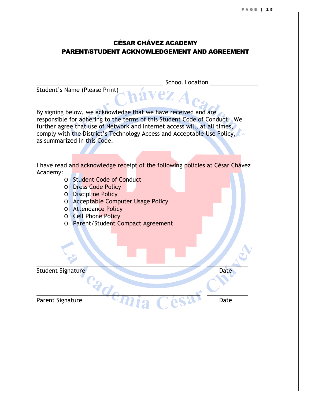### CÉSAR CHÁVEZ ACADEMY PARENT/STUDENT ACKNOWLEDGEMENT AND AGREEMENT

\_\_\_\_\_\_\_\_\_\_\_\_\_\_\_\_\_\_\_\_\_\_\_\_\_\_\_\_\_\_\_\_\_\_ School Location \_\_\_\_\_\_\_\_\_\_\_\_\_ Student's Name (Please Print) By signing below, we acknowledge that we have received and are responsible for adhering to the terms of this Student Code of Conduct. We further agree that use of Network and Internet access will, at all times, comply with the District's Technology Access and Acceptable Use Policy, as summarized in this Code. I have read and acknowledge receipt of the following policies at César Chávez Academy: o Student Code of Conduct o Dress Code Policy o Discipline Policy o Acceptable Computer Usage Policy o Attendance Policy o Cell Phone Policy o Parent/Student Compact Agreement  $\blacksquare$ Student Signature Date Date Date  $^{2}d_{\theta_{T}}$ Parent Signature Date Date